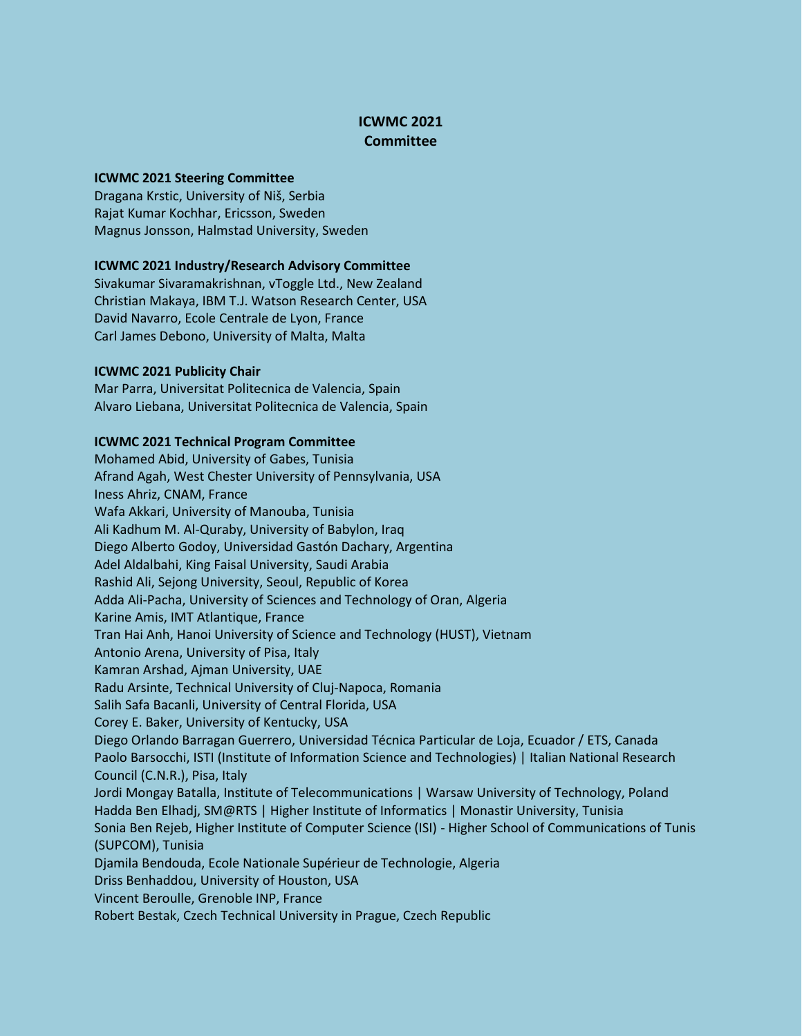# **ICWMC 2021 Committee**

## **ICWMC 2021 Steering Committee**

Dragana Krstic, University of Niš, Serbia Rajat Kumar Kochhar, Ericsson, Sweden Magnus Jonsson, Halmstad University, Sweden

## **ICWMC 2021 Industry/Research Advisory Committee**

Sivakumar Sivaramakrishnan, vToggle Ltd., New Zealand Christian Makaya, IBM T.J. Watson Research Center, USA David Navarro, Ecole Centrale de Lyon, France Carl James Debono, University of Malta, Malta

### **ICWMC 2021 Publicity Chair**

Mar Parra, Universitat Politecnica de Valencia, Spain Alvaro Liebana, Universitat Politecnica de Valencia, Spain

### **ICWMC 2021 Technical Program Committee**

Mohamed Abid, University of Gabes, Tunisia Afrand Agah, West Chester University of Pennsylvania, USA Iness Ahriz, CNAM, France Wafa Akkari, University of Manouba, Tunisia Ali Kadhum M. Al-Quraby, University of Babylon, Iraq Diego Alberto Godoy, Universidad Gastón Dachary, Argentina Adel Aldalbahi, King Faisal University, Saudi Arabia Rashid Ali, Sejong University, Seoul, Republic of Korea Adda Ali-Pacha, University of Sciences and Technology of Oran, Algeria Karine Amis, IMT Atlantique, France Tran Hai Anh, Hanoi University of Science and Technology (HUST), Vietnam Antonio Arena, University of Pisa, Italy Kamran Arshad, Ajman University, UAE Radu Arsinte, Technical University of Cluj-Napoca, Romania Salih Safa Bacanli, University of Central Florida, USA Corey E. Baker, University of Kentucky, USA Diego Orlando Barragan Guerrero, Universidad Técnica Particular de Loja, Ecuador / ETS, Canada Paolo Barsocchi, ISTI (Institute of Information Science and Technologies) | Italian National Research Council (C.N.R.), Pisa, Italy Jordi Mongay Batalla, Institute of Telecommunications | Warsaw University of Technology, Poland Hadda Ben Elhadj, SM@RTS | Higher Institute of Informatics | Monastir University, Tunisia Sonia Ben Rejeb, Higher Institute of Computer Science (ISI) - Higher School of Communications of Tunis (SUPCOM), Tunisia Djamila Bendouda, Ecole Nationale Supérieur de Technologie, Algeria Driss Benhaddou, University of Houston, USA Vincent Beroulle, Grenoble INP, France Robert Bestak, Czech Technical University in Prague, Czech Republic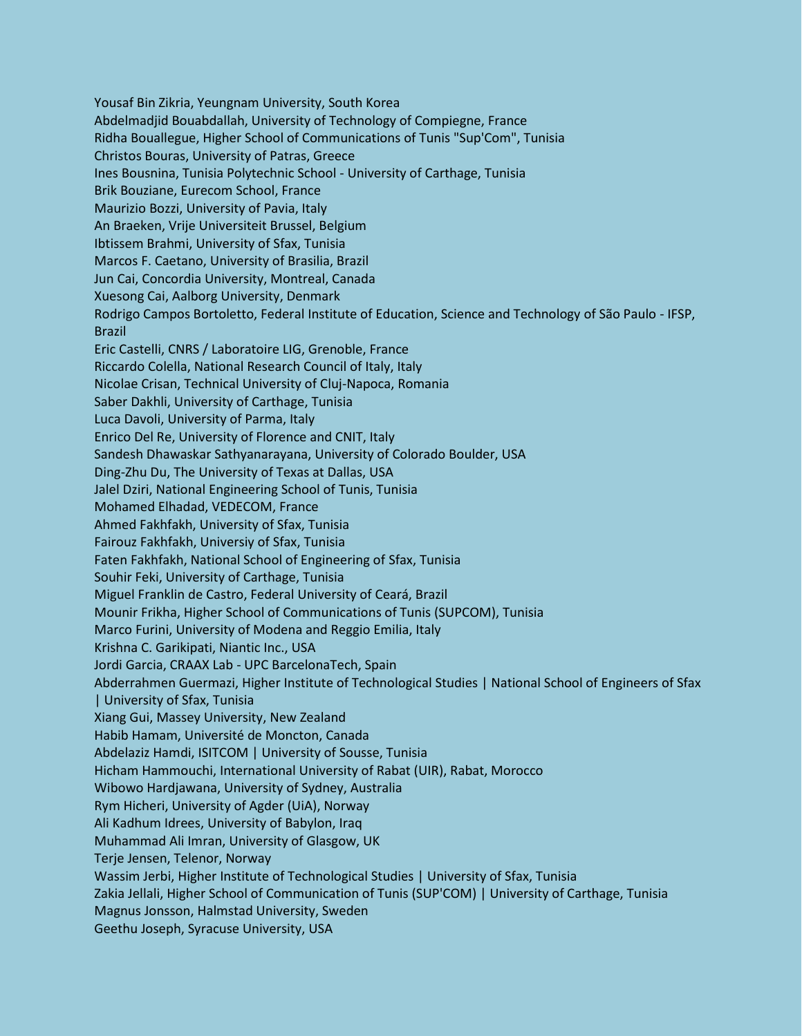Yousaf Bin Zikria, Yeungnam University, South Korea Abdelmadjid Bouabdallah, University of Technology of Compiegne, France Ridha Bouallegue, Higher School of Communications of Tunis "Sup'Com", Tunisia Christos Bouras, University of Patras, Greece Ines Bousnina, Tunisia Polytechnic School - University of Carthage, Tunisia Brik Bouziane, Eurecom School, France Maurizio Bozzi, University of Pavia, Italy An Braeken, Vrije Universiteit Brussel, Belgium Ibtissem Brahmi, University of Sfax, Tunisia Marcos F. Caetano, University of Brasilia, Brazil Jun Cai, Concordia University, Montreal, Canada Xuesong Cai, Aalborg University, Denmark Rodrigo Campos Bortoletto, Federal Institute of Education, Science and Technology of São Paulo - IFSP, Brazil Eric Castelli, CNRS / Laboratoire LIG, Grenoble, France Riccardo Colella, National Research Council of Italy, Italy Nicolae Crisan, Technical University of Cluj-Napoca, Romania Saber Dakhli, University of Carthage, Tunisia Luca Davoli, University of Parma, Italy Enrico Del Re, University of Florence and CNIT, Italy Sandesh Dhawaskar Sathyanarayana, University of Colorado Boulder, USA Ding-Zhu Du, The University of Texas at Dallas, USA Jalel Dziri, National Engineering School of Tunis, Tunisia Mohamed Elhadad, VEDECOM, France Ahmed Fakhfakh, University of Sfax, Tunisia Fairouz Fakhfakh, Universiy of Sfax, Tunisia Faten Fakhfakh, National School of Engineering of Sfax, Tunisia Souhir Feki, University of Carthage, Tunisia Miguel Franklin de Castro, Federal University of Ceará, Brazil Mounir Frikha, Higher School of Communications of Tunis (SUPCOM), Tunisia Marco Furini, University of Modena and Reggio Emilia, Italy Krishna C. Garikipati, Niantic Inc., USA Jordi Garcia, CRAAX Lab - UPC BarcelonaTech, Spain Abderrahmen Guermazi, Higher Institute of Technological Studies | National School of Engineers of Sfax | University of Sfax, Tunisia Xiang Gui, Massey University, New Zealand Habib Hamam, Université de Moncton, Canada Abdelaziz Hamdi, ISITCOM | University of Sousse, Tunisia Hicham Hammouchi, International University of Rabat (UIR), Rabat, Morocco Wibowo Hardjawana, University of Sydney, Australia Rym Hicheri, University of Agder (UiA), Norway Ali Kadhum Idrees, University of Babylon, Iraq Muhammad Ali Imran, University of Glasgow, UK Terje Jensen, Telenor, Norway Wassim Jerbi, Higher Institute of Technological Studies | University of Sfax, Tunisia Zakia Jellali, Higher School of Communication of Tunis (SUP'COM) | University of Carthage, Tunisia Magnus Jonsson, Halmstad University, Sweden Geethu Joseph, Syracuse University, USA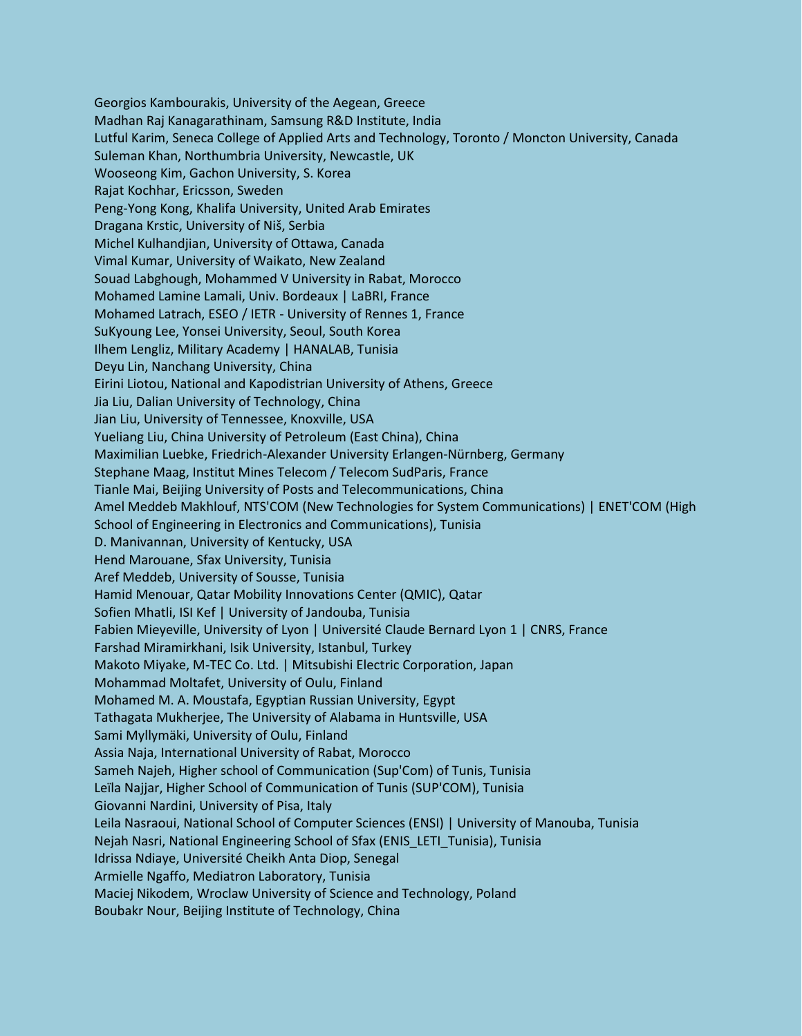Georgios Kambourakis, University of the Aegean, Greece Madhan Raj Kanagarathinam, Samsung R&D Institute, India Lutful Karim, Seneca College of Applied Arts and Technology, Toronto / Moncton University, Canada Suleman Khan, Northumbria University, Newcastle, UK Wooseong Kim, Gachon University, S. Korea Rajat Kochhar, Ericsson, Sweden Peng-Yong Kong, Khalifa University, United Arab Emirates Dragana Krstic, University of Niš, Serbia Michel Kulhandjian, University of Ottawa, Canada Vimal Kumar, University of Waikato, New Zealand Souad Labghough, Mohammed V University in Rabat, Morocco Mohamed Lamine Lamali, Univ. Bordeaux | LaBRI, France Mohamed Latrach, ESEO / IETR - University of Rennes 1, France SuKyoung Lee, Yonsei University, Seoul, South Korea Ilhem Lengliz, Military Academy | HANALAB, Tunisia Deyu Lin, Nanchang University, China Eirini Liotou, National and Kapodistrian University of Athens, Greece Jia Liu, Dalian University of Technology, China Jian Liu, University of Tennessee, Knoxville, USA Yueliang Liu, China University of Petroleum (East China), China Maximilian Luebke, Friedrich-Alexander University Erlangen-Nürnberg, Germany Stephane Maag, Institut Mines Telecom / Telecom SudParis, France Tianle Mai, Beijing University of Posts and Telecommunications, China Amel Meddeb Makhlouf, NTS'COM (New Technologies for System Communications) | ENET'COM (High School of Engineering in Electronics and Communications), Tunisia D. Manivannan, University of Kentucky, USA Hend Marouane, Sfax University, Tunisia Aref Meddeb, University of Sousse, Tunisia Hamid Menouar, Qatar Mobility Innovations Center (QMIC), Qatar Sofien Mhatli, ISI Kef | University of Jandouba, Tunisia Fabien Mieyeville, University of Lyon | Université Claude Bernard Lyon 1 | CNRS, France Farshad Miramirkhani, Isik University, Istanbul, Turkey Makoto Miyake, M-TEC Co. Ltd. | Mitsubishi Electric Corporation, Japan Mohammad Moltafet, University of Oulu, Finland Mohamed M. A. Moustafa, Egyptian Russian University, Egypt Tathagata Mukherjee, The University of Alabama in Huntsville, USA Sami Myllymäki, University of Oulu, Finland Assia Naja, International University of Rabat, Morocco Sameh Najeh, Higher school of Communication (Sup'Com) of Tunis, Tunisia Leïla Najjar, Higher School of Communication of Tunis (SUP'COM), Tunisia Giovanni Nardini, University of Pisa, Italy Leila Nasraoui, National School of Computer Sciences (ENSI) | University of Manouba, Tunisia Nejah Nasri, National Engineering School of Sfax (ENIS\_LETI\_Tunisia), Tunisia Idrissa Ndiaye, Université Cheikh Anta Diop, Senegal Armielle Ngaffo, Mediatron Laboratory, Tunisia Maciej Nikodem, Wroclaw University of Science and Technology, Poland Boubakr Nour, Beijing Institute of Technology, China